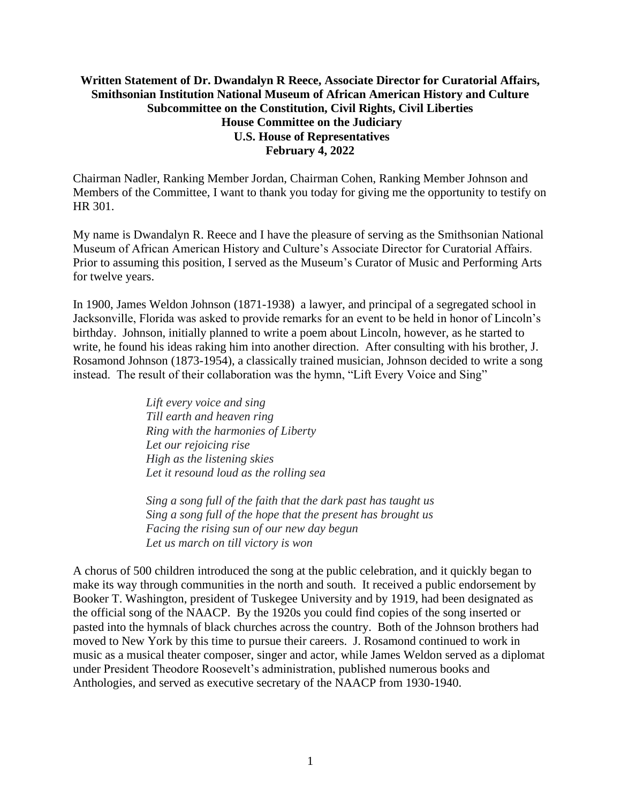## **Written Statement of Dr. Dwandalyn R Reece, Associate Director for Curatorial Affairs, Smithsonian Institution National Museum of African American History and Culture Subcommittee on the Constitution, Civil Rights, Civil Liberties House Committee on the Judiciary U.S. House of Representatives February 4, 2022**

Chairman Nadler, Ranking Member Jordan, Chairman Cohen, Ranking Member Johnson and Members of the Committee, I want to thank you today for giving me the opportunity to testify on HR 301.

My name is Dwandalyn R. Reece and I have the pleasure of serving as the Smithsonian National Museum of African American History and Culture's Associate Director for Curatorial Affairs. Prior to assuming this position, I served as the Museum's Curator of Music and Performing Arts for twelve years.

In 1900, James Weldon Johnson (1871-1938) a lawyer, and principal of a segregated school in Jacksonville, Florida was asked to provide remarks for an event to be held in honor of Lincoln's birthday. Johnson, initially planned to write a poem about Lincoln, however, as he started to write, he found his ideas raking him into another direction. After consulting with his brother, J. Rosamond Johnson (1873-1954), a classically trained musician, Johnson decided to write a song instead. The result of their collaboration was the hymn, "Lift Every Voice and Sing"

> *Lift every voice and sing Till earth and heaven ring Ring with the harmonies of Liberty Let our rejoicing rise High as the listening skies Let it resound loud as the rolling sea*

*Sing a song full of the faith that the dark past has taught us Sing a song full of the hope that the present has brought us Facing the rising sun of our new day begun Let us march on till victory is won*

A chorus of 500 children introduced the song at the public celebration, and it quickly began to make its way through communities in the north and south. It received a public endorsement by Booker T. Washington, president of Tuskegee University and by 1919, had been designated as the official song of the NAACP. By the 1920s you could find copies of the song inserted or pasted into the hymnals of black churches across the country. Both of the Johnson brothers had moved to New York by this time to pursue their careers. J. Rosamond continued to work in music as a musical theater composer, singer and actor, while James Weldon served as a diplomat under President Theodore Roosevelt's administration, published numerous books and Anthologies, and served as executive secretary of the NAACP from 1930-1940.